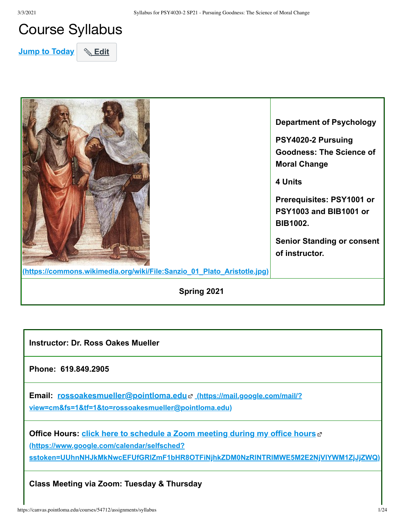# Course Syllabus

**Jump to Today** & Edit



**Instructor: Dr. Ross Oakes Mueller** 

**Phone: 619.849.2905**

**Email: rossoakesmueller@pointloma.edu c** (https://mail.google.com/mail/?) **[view=cm&fs=1&tf=1&to=rossoakesmueller@pointloma.edu\)](https://mail.google.com/mail/?view=cm&fs=1&tf=1&to=rossoakesmueller@pointloma.edu)**

**Office Hours: click here to schedule a Zoom meeting during my office hours** of **(https://www.google.com/calendar/selfsched? [sstoken=UUhnNHJkMkNwcEFUfGRlZmF1bHR8OTFiNjhkZDM0NzRlNTRlMWE5M2E2NjVlYWM1ZjJjZWQ\)](https://www.google.com/calendar/selfsched?sstoken=UUhnNHJkMkNwcEFUfGRlZmF1bHR8OTFiNjhkZDM0NzRlNTRlMWE5M2E2NjVlYWM1ZjJjZWQ)**

**Class Meeting via Zoom: Tuesday & Thursday**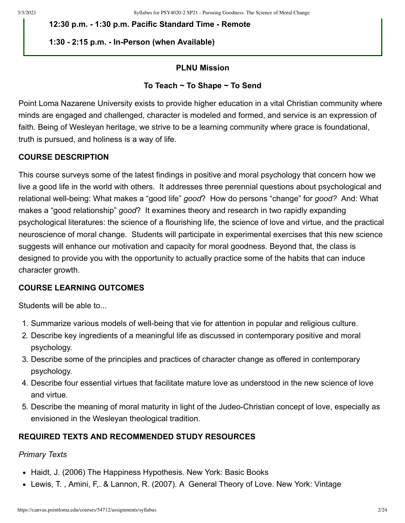**12:30 p.m. - 1:30 p.m. Pacific Standard Time - Remote**

## **1:30 - 2:15 p.m. - In-Person (when Available)**

#### **PLNU Mission**

### **To Teach ~ To Shape ~ To Send**

Point Loma Nazarene University exists to provide higher education in a vital Christian community where minds are engaged and challenged, character is modeled and formed, and service is an expression of faith. Being of Wesleyan heritage, we strive to be a learning community where grace is foundational, truth is pursued, and holiness is a way of life.

## **COURSE DESCRIPTION**

This course surveys some of the latest findings in positive and moral psychology that concern how we live a good life in the world with others. It addresses three perennial questions about psychological and relational well-being: What makes a "good life" *good*? How do persons "change" for *good?* And: What makes a "good relationship" *good*? It examines theory and research in two rapidly expanding psychological literatures: the science of a flourishing life, the science of love and virtue, and the practical neuroscience of moral change. Students will participate in experimental exercises that this new science suggests will enhance our motivation and capacity for moral goodness. Beyond that, the class is designed to provide you with the opportunity to actually practice some of the habits that can induce character growth.

## **COURSE LEARNING OUTCOMES**

Students will be able to...

- 1. Summarize various models of well-being that vie for attention in popular and religious culture.
- 2. Describe key ingredients of a meaningful life as discussed in contemporary positive and moral psychology.
- 3. Describe some of the principles and practices of character change as offered in contemporary psychology.
- 4. Describe four essential virtues that facilitate mature love as understood in the new science of love and virtue.
- 5. Describe the meaning of moral maturity in light of the Judeo-Christian concept of love, especially as envisioned in the Wesleyan theological tradition.

## **REQUIRED TEXTS AND RECOMMENDED STUDY RESOURCES**

# *Primary Texts*

- Haidt, J. (2006) The Happiness Hypothesis. New York: Basic Books
- Lewis, T. , Amini, F,. & Lannon, R. (2007). A General Theory of Love. New York: Vintage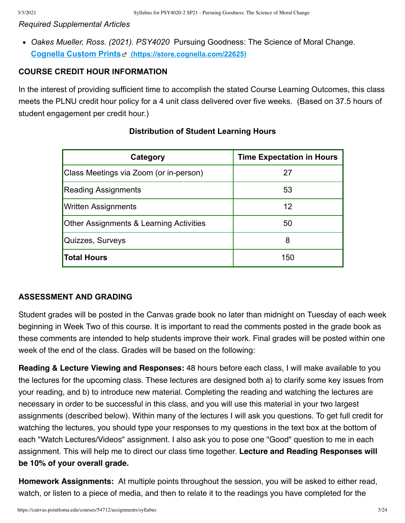#### *Required Supplemental Articles*

*Oakes Mueller, Ross. (2021). PSY4020* Pursuing Goodness: The Science of Moral Change. **Cognella Custom Prints [\(https://store.cognella.com/22625\)](https://store.cognella.com/22625)**

#### **COURSE CREDIT HOUR INFORMATION**

In the interest of providing sufficient time to accomplish the stated Course Learning Outcomes, this class meets the PLNU credit hour policy for a 4 unit class delivered over five weeks. (Based on 37.5 hours of student engagement per credit hour.)

| Category                                           | <b>Time Expectation in Hours</b> |
|----------------------------------------------------|----------------------------------|
| Class Meetings via Zoom (or in-person)             | 27                               |
| <b>Reading Assignments</b>                         | 53                               |
| <b>Written Assignments</b>                         | 12                               |
| <b>Other Assignments &amp; Learning Activities</b> | 50                               |
| Quizzes, Surveys                                   | 8                                |
| Total Hours                                        | 150                              |

#### **Distribution of Student Learning Hours**

#### **ASSESSMENT AND GRADING**

Student grades will be posted in the Canvas grade book no later than midnight on Tuesday of each week beginning in Week Two of this course. It is important to read the comments posted in the grade book as these comments are intended to help students improve their work. Final grades will be posted within one week of the end of the class. Grades will be based on the following:

**Reading & Lecture Viewing and Responses:** 48 hours before each class, I will make available to you the lectures for the upcoming class. These lectures are designed both a) to clarify some key issues from your reading, and b) to introduce new material. Completing the reading and watching the lectures are necessary in order to be successful in this class, and you will use this material in your two largest assignments (described below). Within many of the lectures I will ask you questions. To get full credit for watching the lectures, you should type your responses to my questions in the text box at the bottom of each "Watch Lectures/Videos" assignment. I also ask you to pose one "Good" question to me in each assignment. This will help me to direct our class time together. **Lecture and Reading Responses will be 10% of your overall grade.**

**Homework Assignments:** At multiple points throughout the session, you will be asked to either read, watch, or listen to a piece of media, and then to relate it to the readings you have completed for the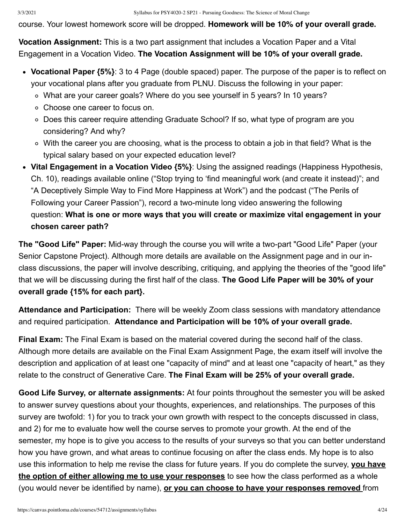course. Your lowest homework score will be dropped. **Homework will be 10% of your overall grade.** 

**Vocation Assignment:** This is a two part assignment that includes a Vocation Paper and a Vital Engagement in a Vocation Video. **The Vocation Assignment will be 10% of your overall grade.** 

- **Vocational Paper {5%}**: 3 to 4 Page (double spaced) paper. The purpose of the paper is to reflect on your vocational plans after you graduate from PLNU. Discuss the following in your paper:
	- What are your career goals? Where do you see yourself in 5 years? In 10 years?
	- Choose one career to focus on.
	- Does this career require attending Graduate School? If so, what type of program are you considering? And why?
	- With the career you are choosing, what is the process to obtain a job in that field? What is the typical salary based on your expected education level?
- **Vital Engagement in a Vocation Video {5%}**: Using the assigned readings (Happiness Hypothesis, Ch. 10), readings available online ("Stop trying to 'find meaningful work (and create it instead)"; and "A Deceptively Simple Way to Find More Happiness at Work") and the podcast ("The Perils of Following your Career Passion"), record a two-minute long video answering the following question: **What is one or more ways that you will create or maximize vital engagement in your chosen career path?**

**The "Good Life" Paper:** Mid-way through the course you will write a two-part "Good Life" Paper (your Senior Capstone Project). Although more details are available on the Assignment page and in our inclass discussions, the paper will involve describing, critiquing, and applying the theories of the "good life" that we will be discussing during the first half of the class. **The Good Life Paper will be 30% of your overall grade {15% for each part}.** 

**Attendance and Participation:** There will be weekly Zoom class sessions with mandatory attendance and required participation. **Attendance and Participation will be 10% of your overall grade.** 

**Final Exam:** The Final Exam is based on the material covered during the second half of the class. Although more details are available on the Final Exam Assignment Page, the exam itself will involve the description and application of at least one "capacity of mind" and at least one "capacity of heart," as they relate to the construct of Generative Care. **The Final Exam will be 25% of your overall grade.**

**Good Life Survey, or alternate assignments:** At four points throughout the semester you will be asked to answer survey questions about your thoughts, experiences, and relationships. The purposes of this survey are twofold: 1) for you to track your own growth with respect to the concepts discussed in class, and 2) for me to evaluate how well the course serves to promote your growth. At the end of the semester, my hope is to give you access to the results of your surveys so that you can better understand how you have grown, and what areas to continue focusing on after the class ends. My hope is to also use this information to help me revise the class for future years. If you do complete the survey, **you have the option of either allowing me to use your responses** to see how the class performed as a whole (you would never be identified by name), **or you can choose to have your responses removed** from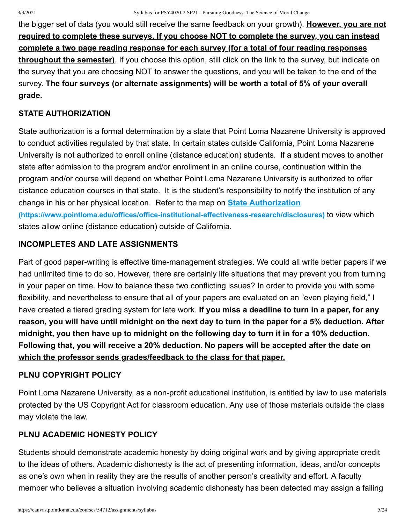the bigger set of data (you would still receive the same feedback on your growth). **However, you are not required to complete these surveys. If you choose NOT to complete the survey, you can instead complete a two page reading response for each survey (for a total of four reading responses throughout the semester)**. If you choose this option, still click on the link to the survey, but indicate on the survey that you are choosing NOT to answer the questions, and you will be taken to the end of the survey. **The four surveys (or alternate assignments) will be worth a total of 5% of your overall grade.**

# **STATE AUTHORIZATION**

State authorization is a formal determination by a state that Point Loma Nazarene University is approved to conduct activities regulated by that state. In certain states outside California, Point Loma Nazarene University is not authorized to enroll online (distance education) students. If a student moves to another state after admission to the program and/or enrollment in an online course, continuation within the program and/or course will depend on whether Point Loma Nazarene University is authorized to offer distance education courses in that state. It is the student's responsibility to notify the institution of any change in his or her physical location. Refer to the map on **State Authorization [\(https://www.pointloma.edu/offices/office-institutional-effectiveness-research/disclosures\)](https://www.pointloma.edu/offices/office-institutional-effectiveness-research/disclosures)** to view which states allow online (distance education) outside of California.

# **INCOMPLETES AND LATE ASSIGNMENTS**

Part of good paper-writing is effective time-management strategies. We could all write better papers if we had unlimited time to do so. However, there are certainly life situations that may prevent you from turning in your paper on time. How to balance these two conflicting issues? In order to provide you with some flexibility, and nevertheless to ensure that all of your papers are evaluated on an "even playing field," I have created a tiered grading system for late work. **If you miss a deadline to turn in a paper, for any reason, you will have until midnight on the next day to turn in the paper for a 5% deduction. After midnight, you then have up to midnight on the following day to turn it in for a 10% deduction. Following that, you will receive a 20% deduction. No papers will be accepted after the date on which the professor sends grades/feedback to the class for that paper.**

# **PLNU COPYRIGHT POLICY**

Point Loma Nazarene University, as a non-profit educational institution, is entitled by law to use materials protected by the US Copyright Act for classroom education. Any use of those materials outside the class may violate the law.

# **PLNU ACADEMIC HONESTY POLICY**

Students should demonstrate academic honesty by doing original work and by giving appropriate credit to the ideas of others. Academic dishonesty is the act of presenting information, ideas, and/or concepts as one's own when in reality they are the results of another person's creativity and effort. A faculty member who believes a situation involving academic dishonesty has been detected may assign a failing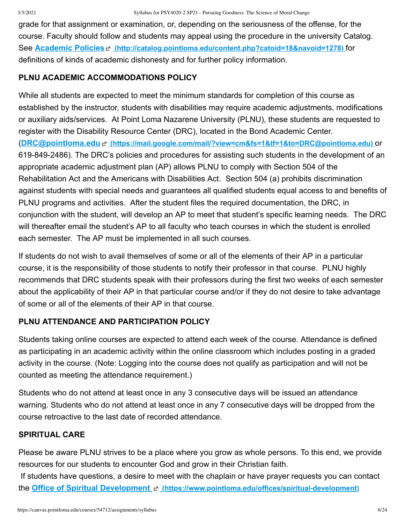grade for that assignment or examination, or, depending on the seriousness of the offense, for the course. Faculty should follow and students may appeal using the procedure in the university Catalog. See **Academic Policies [\(http://catalog.pointloma.edu/content.php?catoid=18&navoid=1278\)](http://catalog.pointloma.edu/content.php?catoid=18&navoid=1278)** for definitions of kinds of academic dishonesty and for further policy information.

# **PLNU ACADEMIC ACCOMMODATIONS POLICY**

While all students are expected to meet the minimum standards for completion of this course as established by the instructor, students with disabilities may require academic adjustments, modifications or auxiliary aids/services. At Point Loma Nazarene University (PLNU), these students are requested to register with the Disability Resource Center (DRC), located in the Bond Academic Center. (**DRC@pointloma.edu [\(https://mail.google.com/mail/?view=cm&fs=1&tf=1&to=DRC@pointloma.edu\)](https://mail.google.com/mail/?view=cm&fs=1&tf=1&to=DRC@pointloma.edu)** or 619-849-2486). The DRC's policies and procedures for assisting such students in the development of an appropriate academic adjustment plan (AP) allows PLNU to comply with Section 504 of the Rehabilitation Act and the Americans with Disabilities Act. Section 504 (a) prohibits discrimination against students with special needs and guarantees all qualified students equal access to and benefits of PLNU programs and activities. After the student files the required documentation, the DRC, in conjunction with the student, will develop an AP to meet that student's specific learning needs. The DRC will thereafter email the student's AP to all faculty who teach courses in which the student is enrolled each semester. The AP must be implemented in all such courses.

If students do not wish to avail themselves of some or all of the elements of their AP in a particular course, it is the responsibility of those students to notify their professor in that course. PLNU highly recommends that DRC students speak with their professors during the first two weeks of each semester about the applicability of their AP in that particular course and/or if they do not desire to take advantage of some or all of the elements of their AP in that course.

# **PLNU ATTENDANCE AND PARTICIPATION POLICY**

Students taking online courses are expected to attend each week of the course. Attendance is defined as participating in an academic activity within the online classroom which includes posting in a graded activity in the course. (Note: Logging into the course does not qualify as participation and will not be counted as meeting the attendance requirement.)

Students who do not attend at least once in any 3 consecutive days will be issued an attendance warning. Students who do not attend at least once in any 7 consecutive days will be dropped from the course retroactive to the last date of recorded attendance.

## **SPIRITUAL CARE**

Please be aware PLNU strives to be a place where you grow as whole persons. To this end, we provide resources for our students to encounter God and grow in their Christian faith.

 If students have questions, a desire to meet with the chaplain or have prayer requests you can contact the **Office of Spiritual Development [\(https://www.pointloma.edu/offices/spiritual-development\)](https://www.pointloma.edu/offices/spiritual-development)**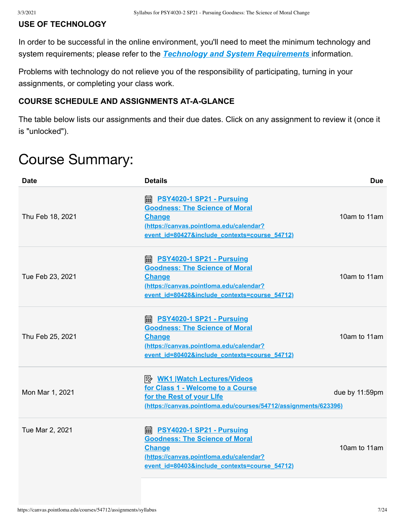### **USE OF TECHNOLOGY**

In order to be successful in the online environment, you'll need to meet the minimum technology and system requirements; please refer to the *[Technology and System Requirements](https://canvas.pointloma.edu/courses/51315/pages/technology-and-system-requirements)* information.

Problems with technology do not relieve you of the responsibility of participating, turning in your assignments, or completing your class work.

#### **COURSE SCHEDULE AND ASSIGNMENTS AT-A-GLANCE**

The table below lists our assignments and their due dates. Click on any assignment to review it (once it is "unlocked").

# Course Summary:

| <b>Date</b>      | <b>Details</b>                                                                                                                                                                           | <b>Due</b>     |
|------------------|------------------------------------------------------------------------------------------------------------------------------------------------------------------------------------------|----------------|
| Thu Feb 18, 2021 | <b>■ PSY4020-1 SP21 - Pursuing</b><br><b>Goodness: The Science of Moral</b><br><b>Change</b><br>(https://canvas.pointloma.edu/calendar?<br>event id=80427&include contexts=course 54712) | 10am to 11am   |
| Tue Feb 23, 2021 | <b>■ PSY4020-1 SP21 - Pursuing</b><br><b>Goodness: The Science of Moral</b><br><b>Change</b><br>(https://canvas.pointloma.edu/calendar?<br>event id=80428&include contexts=course 54712) | 10am to 11am   |
| Thu Feb 25, 2021 | <b>A</b> PSY4020-1 SP21 - Pursuing<br><b>Goodness: The Science of Moral</b><br><b>Change</b><br>(https://canvas.pointloma.edu/calendar?<br>event id=80402&include contexts=course 54712) | 10am to 11am   |
| Mon Mar 1, 2021  | <b>A</b> WK1 Watch Lectures/Videos<br>for Class 1 - Welcome to a Course<br>for the Rest of your Life<br>(https://canvas.pointloma.edu/courses/54712/assignments/623396)                  | due by 11:59pm |
| Tue Mar 2, 2021  | <b>A</b> PSY4020-1 SP21 - Pursuing<br><b>Goodness: The Science of Moral</b><br><b>Change</b><br>(https://canvas.pointloma.edu/calendar?<br>event id=80403&include contexts=course 54712) | 10am to 11am   |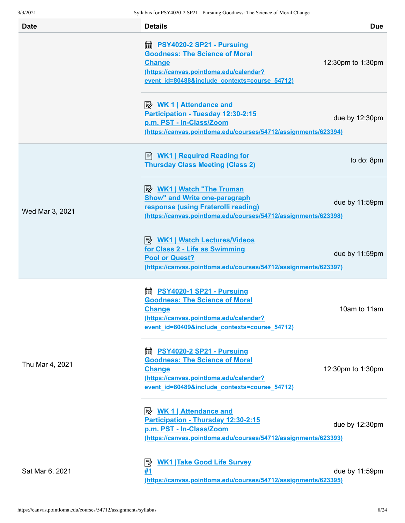| <b>Date</b>     | <b>Details</b>                                                                                                                                                                           | <b>Due</b>        |
|-----------------|------------------------------------------------------------------------------------------------------------------------------------------------------------------------------------------|-------------------|
|                 | <b>■ PSY4020-2 SP21 - Pursuing</b><br><b>Goodness: The Science of Moral</b><br><b>Change</b><br>(https://canvas.pointloma.edu/calendar?<br>event id=80488&include contexts=course 54712) | 12:30pm to 1:30pm |
|                 | <u> <i>WK</i> 1   Attendance and</u><br>Participation - Tuesday 12:30-2:15<br>p.m. PST - In-Class/Zoom<br>(https://canvas.pointloma.edu/courses/54712/assignments/623394)                | due by 12:30pm    |
|                 | ■ WK1   Required Reading for<br><b>Thursday Class Meeting (Class 2)</b>                                                                                                                  | to do: 8pm        |
| Wed Mar 3, 2021 | <u> <i>WK1</i>   Watch "The Truman</u><br><b>Show" and Write one-paragraph</b><br>response (using Fraterolli reading)<br>(https://canvas.pointloma.edu/courses/54712/assignments/623398) | due by 11:59pm    |
|                 | <b>B</b> WK1   Watch Lectures/Videos<br>for Class 2 - Life as Swimming<br><b>Pool or Quest?</b><br>(https://canvas.pointloma.edu/courses/54712/assignments/623397)                       | due by 11:59pm    |
|                 | <b>■ PSY4020-1 SP21 - Pursuing</b><br><b>Goodness: The Science of Moral</b><br><b>Change</b><br>(https://canvas.pointloma.edu/calendar?<br>event id=80409&include contexts=course 54712) | 10am to 11am      |
| Thu Mar 4, 2021 | PSY4020-2 SP21 - Pursuing<br>酾<br><b>Goodness: The Science of Moral</b><br><b>Change</b><br>(https://canvas.pointloma.edu/calendar?<br>event id=80489&include contexts=course 54712)     | 12:30pm to 1:30pm |
|                 | Participation - Thursday 12:30-2:15<br>p.m. PST - In-Class/Zoom<br>(https://canvas.pointloma.edu/courses/54712/assignments/623393)                                                       | due by 12:30pm    |
| Sat Mar 6, 2021 | <b>WK1 Take Good Life Survey</b><br>暨<br>#1<br>(https://canvas.pointloma.edu/courses/54712/assignments/623395)                                                                           | due by 11:59pm    |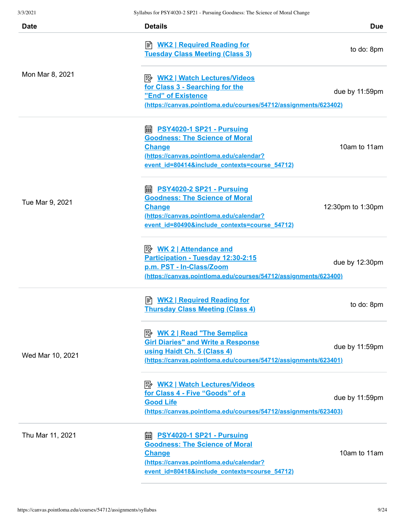| <b>Date</b>      | <b>Details</b>                                                                                                                                                                           | <b>Due</b>        |
|------------------|------------------------------------------------------------------------------------------------------------------------------------------------------------------------------------------|-------------------|
|                  | <b>E</b> WK2   Required Reading for<br><b>Tuesday Class Meeting (Class 3)</b>                                                                                                            | to do: 8pm        |
| Mon Mar 8, 2021  | <b>E</b> WK2   Watch Lectures/Videos<br>for Class 3 - Searching for the<br>"End" of Existence<br>(https://canvas.pointloma.edu/courses/54712/assignments/623402)                         | due by 11:59pm    |
|                  | ■ PSY4020-1 SP21 - Pursuing<br><b>Goodness: The Science of Moral</b><br><b>Change</b><br>(https://canvas.pointloma.edu/calendar?<br>event id=80414&include contexts=course 54712)        | 10am to 11am      |
| Tue Mar 9, 2021  | dia PSY4020-2 SP21 - Pursuing<br><b>Goodness: The Science of Moral</b><br><b>Change</b><br>(https://canvas.pointloma.edu/calendar?<br>event id=80490&include contexts=course 54712)      | 12:30pm to 1:30pm |
|                  | <b>Attendance and</b><br>Participation - Tuesday 12:30-2:15<br>p.m. PST - In-Class/Zoom<br>(https://canvas.pointloma.edu/courses/54712/assignments/623400)                               | due by 12:30pm    |
|                  | <b>E</b> WK2   Required Reading for<br><b>Thursday Class Meeting (Class 4)</b>                                                                                                           | to do: 8pm        |
| Wed Mar 10, 2021 | <b>B</b> WK 2   Read "The Semplica<br><b>Girl Diaries" and Write a Response</b><br>using Haidt Ch. 5 (Class 4)<br>(https://canvas.pointloma.edu/courses/54712/assignments/623401)        | due by 11:59pm    |
|                  | <b>B</b> WK2   Watch Lectures/Videos<br>for Class 4 - Five "Goods" of a<br><b>Good Life</b><br>(https://canvas.pointloma.edu/courses/54712/assignments/623403)                           | due by 11:59pm    |
| Thu Mar 11, 2021 | <b>■ PSY4020-1 SP21 - Pursuing</b><br><b>Goodness: The Science of Moral</b><br><b>Change</b><br>(https://canvas.pointloma.edu/calendar?<br>event id=80418&include contexts=course 54712) | 10am to 11am      |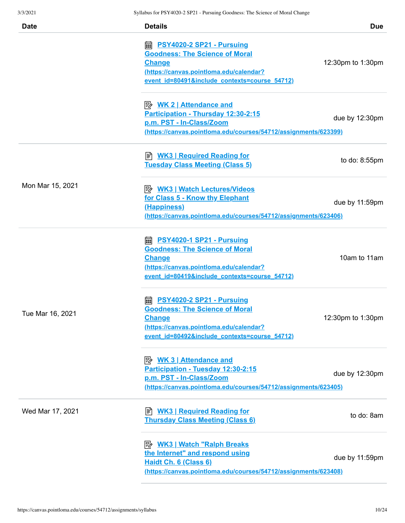| 3/3/2021         | Syllabus for PSY4020-2 SP21 - Pursuing Goodness: The Science of Moral Change |                   |
|------------------|------------------------------------------------------------------------------|-------------------|
| <b>Date</b>      | <b>Details</b>                                                               | <b>Due</b>        |
|                  | <b>■ PSY4020-2 SP21 - Pursuing</b>                                           |                   |
|                  | <b>Goodness: The Science of Moral</b>                                        |                   |
|                  | <b>Change</b>                                                                | 12:30pm to 1:30pm |
|                  | (https://canvas.pointloma.edu/calendar?                                      |                   |
|                  | event id=80491&include contexts=course 54712)                                |                   |
|                  | <b>Attendance and</b>                                                        |                   |
|                  | Participation - Thursday 12:30-2:15                                          |                   |
|                  | p.m. PST - In-Class/Zoom                                                     | due by 12:30pm    |
|                  | (https://canvas.pointloma.edu/courses/54712/assignments/623399)              |                   |
|                  | <b>WK3   Required Reading for</b><br>訚                                       |                   |
|                  | <b>Tuesday Class Meeting (Class 5)</b>                                       | to do: $8:55$ pm  |
|                  |                                                                              |                   |
| Mon Mar 15, 2021 | <b>B</b> WK3   Watch Lectures/Videos                                         |                   |
|                  | for Class 5 - Know thy Elephant                                              | due by 11:59pm    |
|                  | (Happiness)                                                                  |                   |
|                  | (https://canvas.pointloma.edu/courses/54712/assignments/623406)              |                   |
|                  | <b>A</b> PSY4020-1 SP21 - Pursuing                                           |                   |
|                  | <b>Goodness: The Science of Moral</b>                                        |                   |
|                  | <b>Change</b>                                                                | 10am to 11am      |
|                  | (https://canvas.pointloma.edu/calendar?                                      |                   |
|                  | event id=80419&include contexts=course 54712)                                |                   |
|                  | PSY4020-2 SP21 - Pursuing<br>繭                                               |                   |
|                  | <b>Goodness: The Science of Moral</b>                                        |                   |
| Tue Mar 16, 2021 | <b>Change</b>                                                                | 12:30pm to 1:30pm |
|                  | (https://canvas.pointloma.edu/calendar?                                      |                   |
|                  | event id=80492&include contexts=course 54712)                                |                   |
|                  | <u>≫ WK 3   Attendance and</u>                                               |                   |
|                  | Participation - Tuesday 12:30-2:15                                           |                   |
|                  | p.m. PST - In-Class/Zoom                                                     | due by 12:30pm    |
|                  | (https://canvas.pointloma.edu/courses/54712/assignments/623405)              |                   |
| Wed Mar 17, 2021 | <b>WK3   Required Reading for</b><br>訚                                       |                   |
|                  | <b>Thursday Class Meeting (Class 6)</b>                                      | to do: 8am        |
|                  | <b>B</b> WK3   Watch "Ralph Breaks                                           |                   |
|                  | the Internet" and respond using                                              |                   |
|                  | Haidt Ch. 6 (Class 6)                                                        | due by 11:59pm    |
|                  | (https://canvas.pointloma.edu/courses/54712/assignments/623408)              |                   |
|                  |                                                                              |                   |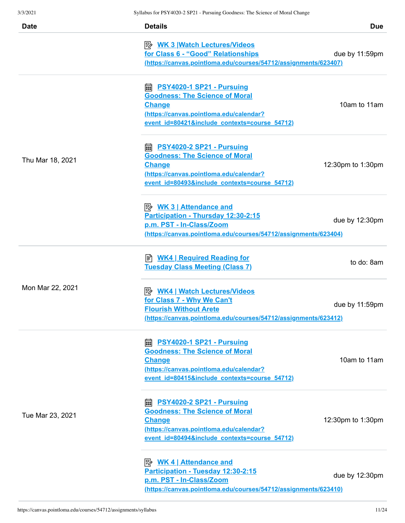| <b>Date</b>      | <b>Details</b>                                                                                                                                                                           | <b>Due</b>               |
|------------------|------------------------------------------------------------------------------------------------------------------------------------------------------------------------------------------|--------------------------|
|                  | <u>≫ WK 3   Watch Lectures/Videos</u><br>for Class 6 - "Good" Relationships<br>(https://canvas.pointloma.edu/courses/54712/assignments/623407)                                           | due by 11:59pm           |
|                  | <b>■ PSY4020-1 SP21 - Pursuing</b><br><b>Goodness: The Science of Moral</b><br><b>Change</b><br>(https://canvas.pointloma.edu/calendar?<br>event id=80421&include contexts=course 54712) | 10am to 11am             |
| Thu Mar 18, 2021 | ■ PSY4020-2 SP21 - Pursuing<br><b>Goodness: The Science of Moral</b><br><b>Change</b><br>(https://canvas.pointloma.edu/calendar?<br>event id=80493&include contexts=course 54712)        | 12:30pm to 1:30pm        |
|                  | <b>Attendance and</b><br>Participation - Thursday 12:30-2:15<br>p.m. PST - In-Class/Zoom<br>(https://canvas.pointloma.edu/courses/54712/assignments/623404)                              | due by $12:30 \text{pm}$ |
|                  | <b>E</b> WK4   Required Reading for<br><b>Tuesday Class Meeting (Class 7)</b>                                                                                                            | to do: 8am               |
| Mon Mar 22, 2021 | <u>  WK4   Watch Lectures/Videos</u><br>for Class 7 - Why We Can't<br><b>Flourish Without Arete</b><br>(https://canvas.pointloma.edu/courses/54712/assignments/623412)                   | due by 11:59pm           |
|                  | <b>■ PSY4020-1 SP21 - Pursuing</b><br><b>Goodness: The Science of Moral</b><br><b>Change</b><br>(https://canvas.pointloma.edu/calendar?<br>event id=80415&include contexts=course 54712) | 10am to 11am             |
| Tue Mar 23, 2021 | <b>■ PSY4020-2 SP21 - Pursuing</b><br><b>Goodness: The Science of Moral</b><br><b>Change</b><br>(https://canvas.pointloma.edu/calendar?<br>event id=80494&include contexts=course 54712) | 12:30pm to 1:30pm        |
|                  | <b>B</b> WK 4   Attendance and<br>Participation - Tuesday 12:30-2:15<br>p.m. PST - In-Class/Zoom<br>(https://canvas.pointloma.edu/courses/54712/assignments/623410)                      | due by 12:30pm           |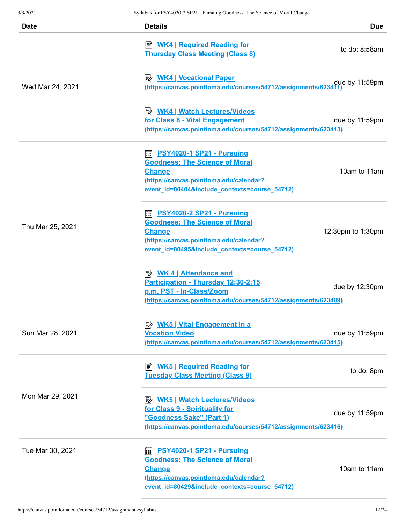| Date             | <b>Details</b>                                                                                                                                                                              | <b>Due</b>        |
|------------------|---------------------------------------------------------------------------------------------------------------------------------------------------------------------------------------------|-------------------|
|                  | <u>WK4   Required Reading for</u><br><b>Thursday Class Meeting (Class 8)</b>                                                                                                                | to do: $8:58$ am  |
| Wed Mar 24, 2021 | <mark>WK4   Vocational Paper</mark><br>due by 11:59pm<br>https://canvas.pointloma.edu/courses/54712/assignments/623411)                                                                     |                   |
|                  | <b>B</b> WK4   Watch Lectures/Videos<br>for Class 8 - Vital Engagement<br>(https://canvas.pointloma.edu/courses/54712/assignments/623413)                                                   | due by 11:59pm    |
|                  | <b>nall PSY4020-1 SP21 - Pursuing</b><br><b>Goodness: The Science of Moral</b><br><b>Change</b><br>(https://canvas.pointloma.edu/calendar?<br>event id=80404&include contexts=course 54712) | 10am to 11am      |
| Thu Mar 25, 2021 | <b>A</b> PSY4020-2 SP21 - Pursuing<br><b>Goodness: The Science of Moral</b><br><b>Change</b><br>(https://canvas.pointloma.edu/calendar?<br>event id=80495&include contexts=course 54712)    | 12:30pm to 1:30pm |
|                  | Participation - Thursday 12:30-2:15<br>p.m. PST - In-Class/Zoom<br>(https://canvas.pointloma.edu/courses/54712/assignments/623409)                                                          | due by 12:30pm    |
| Sun Mar 28, 2021 | <b>Vocation Video</b><br>(https://canvas.pointloma.edu/courses/54712/assignments/623415)                                                                                                    | due by 11:59pm    |
|                  | ■ <b>WK5   Required Reading for</b><br><b>Tuesday Class Meeting (Class 9)</b>                                                                                                               | to do: 8pm        |
| Mon Mar 29, 2021 | <b>B</b> WK5   Watch Lectures/Videos<br>for Class 9 - Spirituality for<br>"Goodness Sake" (Part 1)<br>(https://canvas.pointloma.edu/courses/54712/assignments/623416)                       | due by 11:59pm    |
| Tue Mar 30, 2021 | <b>■ PSY4020-1 SP21 - Pursuing</b><br><b>Goodness: The Science of Moral</b><br><b>Change</b><br>(https://canvas.pointloma.edu/calendar?<br>event id=80429&include contexts=course 54712)    | 10am to 11am      |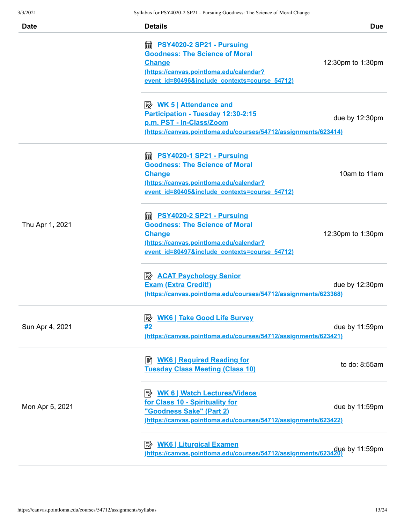| 3/3/2021        | Syllabus for PSY4020-2 SP21 - Pursuing Goodness: The Science of Moral Change     |                          |
|-----------------|----------------------------------------------------------------------------------|--------------------------|
| <b>Date</b>     | <b>Details</b>                                                                   | <b>Due</b>               |
|                 | ■ <u>PSY4020-2 SP21 - Pursuing</u>                                               |                          |
|                 | <b>Goodness: The Science of Moral</b>                                            |                          |
|                 | <b>Change</b>                                                                    | 12:30pm to 1:30pm        |
|                 | (https://canvas.pointloma.edu/calendar?                                          |                          |
|                 | event id=80496&include contexts=course 54712)                                    |                          |
|                 | $\Rightarrow$ WK 5   Attendance and                                              |                          |
|                 | Participation - Tuesday 12:30-2:15                                               |                          |
|                 | p.m. PST - In-Class/Zoom                                                         | due by 12:30pm           |
|                 | (https://canvas.pointloma.edu/courses/54712/assignments/623414)                  |                          |
|                 | <b>A</b> PSY4020-1 SP21 - Pursuing                                               |                          |
|                 | <b>Goodness: The Science of Moral</b>                                            |                          |
|                 | <b>Change</b>                                                                    | 10am to 11am             |
|                 | (https://canvas.pointloma.edu/calendar?                                          |                          |
|                 | event id=80405&include contexts=course 54712)                                    |                          |
|                 | <b>empths PSY4020-2 SP21 - Pursuing</b>                                          |                          |
| Thu Apr 1, 2021 | <b>Goodness: The Science of Moral</b>                                            |                          |
|                 | <b>Change</b>                                                                    | 12:30pm to 1:30pm        |
|                 | (https://canvas.pointloma.edu/calendar?                                          |                          |
|                 | event id=80497&include contexts=course 54712)                                    |                          |
|                 | <b>B</b> ACAT Psychology Senior                                                  |                          |
|                 | <b>Exam (Extra Credit!)</b>                                                      | due by $12:30 \text{pm}$ |
|                 | (https://canvas.pointloma.edu/courses/54712/assignments/623368)                  |                          |
|                 | <b>WK6   Take Good Life Survey</b><br>ぽん                                         |                          |
| Sun Apr 4, 2021 | #2                                                                               | due by 11:59pm           |
|                 | (https://canvas.pointloma.edu/courses/54712/assignments/623421)                  |                          |
|                 | <b>E</b> WK6   Required Reading for                                              |                          |
|                 | <b>Tuesday Class Meeting (Class 10)</b>                                          | to do: 8:55am            |
|                 | <b>B</b> WK 6   Watch Lectures/Videos                                            |                          |
| Mon Apr 5, 2021 | for Class 10 - Spirituality for                                                  |                          |
|                 | <u>"Goodness Sake" (Part 2)</u>                                                  | due by 11:59pm           |
|                 | (https://canvas.pointloma.edu/courses/54712/assignments/623422)                  |                          |
|                 |                                                                                  |                          |
|                 | due by 11:59pm<br>https://canvas.pointloma.edu/courses/54712/assignments/623420) |                          |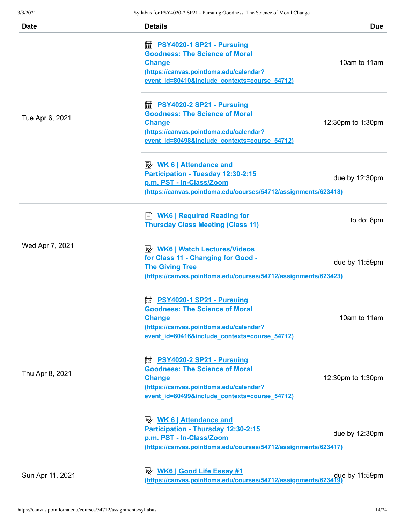| <b>Date</b>      | <b>Details</b>                                                                 | <b>Due</b>        |
|------------------|--------------------------------------------------------------------------------|-------------------|
|                  | <b>A</b> PSY4020-1 SP21 - Pursuing                                             |                   |
|                  | <b>Goodness: The Science of Moral</b>                                          |                   |
|                  | <b>Change</b>                                                                  | 10am to 11am      |
|                  | (https://canvas.pointloma.edu/calendar?                                        |                   |
|                  | event id=80410&include contexts=course 54712)                                  |                   |
|                  | <b>edge PSY4020-2 SP21 - Pursuing</b>                                          |                   |
|                  | <b>Goodness: The Science of Moral</b>                                          |                   |
| Tue Apr 6, 2021  | <b>Change</b>                                                                  | 12:30pm to 1:30pm |
|                  | (https://canvas.pointloma.edu/calendar?                                        |                   |
|                  | event id=80498&include contexts=course 54712)                                  |                   |
|                  |                                                                                |                   |
|                  | Participation - Tuesday 12:30-2:15                                             |                   |
|                  | p.m. PST - In-Class/Zoom                                                       | due by 12:30pm    |
|                  | (https://canvas.pointloma.edu/courses/54712/assignments/623418)                |                   |
|                  | <b>E</b> WK6   Required Reading for                                            |                   |
|                  | <b>Thursday Class Meeting (Class 11)</b>                                       | to do: 8pm        |
| Wed Apr 7, 2021  | <b>B</b> WK6   Watch Lectures/Videos                                           |                   |
|                  | for Class 11 - Changing for Good -                                             |                   |
|                  | <b>The Giving Tree</b>                                                         | due by 11:59pm    |
|                  | (https://canvas.pointloma.edu/courses/54712/assignments/623423)                |                   |
|                  | <b>PSY4020-1 SP21 - Pursuing</b><br>翩                                          |                   |
|                  | <b>Goodness: The Science of Moral</b>                                          |                   |
|                  | <b>Change</b>                                                                  | 10am to 11am      |
|                  | (https://canvas.pointloma.edu/calendar?                                        |                   |
|                  | event id=80416&include contexts=course 54712)                                  |                   |
|                  | <b>edge PSY4020-2 SP21 - Pursuing</b>                                          |                   |
|                  | <b>Goodness: The Science of Moral</b>                                          |                   |
| Thu Apr 8, 2021  | <b>Change</b>                                                                  | 12:30pm to 1:30pm |
|                  | (https://canvas.pointloma.edu/calendar?                                        |                   |
|                  | event id=80499&include contexts=course 54712)                                  |                   |
|                  | <b>Attendance and</b>                                                          |                   |
|                  | Participation - Thursday 12:30-2:15                                            |                   |
|                  | p.m. PST - In-Class/Zoom                                                       | due by 12:30pm    |
|                  | (https://canvas.pointloma.edu/courses/54712/assignments/623417)                |                   |
|                  |                                                                                |                   |
| Sun Apr 11, 2021 | due by 11:59pm (https://canvas.pointloma.edu/courses/54712/assignments/623419) |                   |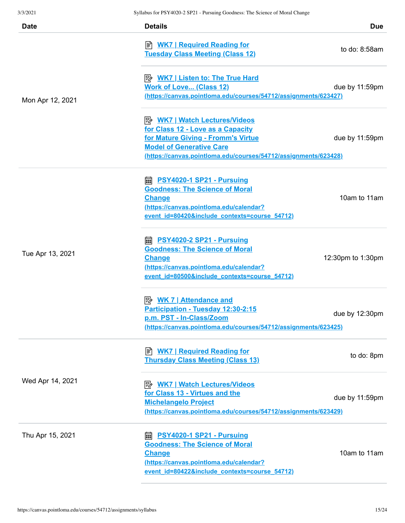| <b>Date</b>      | <b>Details</b>                                                                                                                                                                              | <b>Due</b>        |
|------------------|---------------------------------------------------------------------------------------------------------------------------------------------------------------------------------------------|-------------------|
|                  | ■ <b>WK7   Required Reading for</b><br><b>Tuesday Class Meeting (Class 12)</b>                                                                                                              | to do: 8:58am     |
| Mon Apr 12, 2021 | <b>Work of Love (Class 12)</b><br>(https://canvas.pointloma.edu/courses/54712/assignments/623427)                                                                                           | due by 11:59pm    |
|                  | for Class 12 - Love as a Capacity<br>for Mature Giving - Fromm's Virtue<br><b>Model of Generative Care</b><br>(https://canvas.pointloma.edu/courses/54712/assignments/623428)               | due by 11:59pm    |
|                  | <b>edge PSY4020-1 SP21 - Pursuing</b><br><b>Goodness: The Science of Moral</b><br><b>Change</b><br>(https://canvas.pointloma.edu/calendar?<br>event id=80420&include contexts=course 54712) | 10am to 11am      |
| Tue Apr 13, 2021 | <b>A</b> PSY4020-2 SP21 - Pursuing<br><b>Goodness: The Science of Moral</b><br><b>Change</b><br>(https://canvas.pointloma.edu/calendar?<br>event id=80500&include contexts=course 54712)    | 12:30pm to 1:30pm |
|                  | <u> <i>WK 7</i>   Attendance and</u><br>Participation - Tuesday 12:30-2:15<br>p.m. PST - In-Class/Zoom<br>(https://canvas.pointloma.edu/courses/54712/assignments/623425)                   | due by 12:30pm    |
|                  | <b>E</b> WK7   Required Reading for<br><b>Thursday Class Meeting (Class 13)</b>                                                                                                             | to do: 8pm        |
| Wed Apr 14, 2021 | for Class 13 - Virtues and the<br><b>Michelangelo Project</b><br>(https://canvas.pointloma.edu/courses/54712/assignments/623429)                                                            | due by 11:59pm    |
| Thu Apr 15, 2021 | <b>PSY4020-1 SP21 - Pursuing</b><br>酾<br><b>Goodness: The Science of Moral</b><br><b>Change</b><br>(https://canvas.pointloma.edu/calendar?<br>event id=80422&include contexts=course 54712) | 10am to 11am      |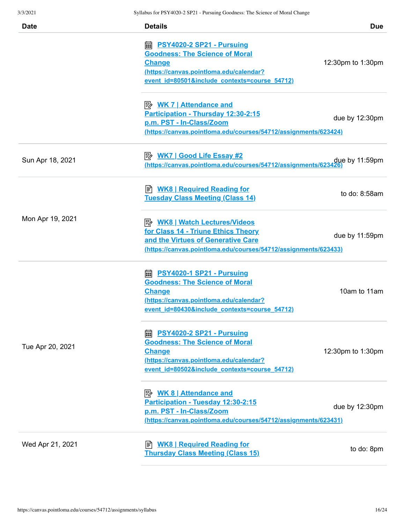| <b>Date</b>      | <b>Details</b>                                                                                                                                                                           | <b>Due</b>        |
|------------------|------------------------------------------------------------------------------------------------------------------------------------------------------------------------------------------|-------------------|
|                  | <b>■ PSY4020-2 SP21 - Pursuing</b><br><b>Goodness: The Science of Moral</b><br><b>Change</b><br>(https://canvas.pointloma.edu/calendar?<br>event id=80501&include contexts=course 54712) | 12:30pm to 1:30pm |
|                  | <b>Attendance and</b><br>Participation - Thursday 12:30-2:15<br>p.m. PST - In-Class/Zoom<br>(https://canvas.pointloma.edu/courses/54712/assignments/623424)                              | due by 12:30pm    |
| Sun Apr 18, 2021 | P <sup>2</sup> WK7   Good Life Essay #2<br>https://canvas.pointloma.edu/courses/54712/assignments/623426)                                                                                |                   |
|                  | ■ <b>WK8   Required Reading for</b><br><b>Tuesday Class Meeting (Class 14)</b>                                                                                                           | to do: 8:58am     |
| Mon Apr 19, 2021 | for Class 14 - Triune Ethics Theory<br>and the Virtues of Generative Care<br>(https://canvas.pointloma.edu/courses/54712/assignments/623433)                                             | due by 11:59pm    |
|                  | <b>A</b> PSY4020-1 SP21 - Pursuing<br><b>Goodness: The Science of Moral</b><br><b>Change</b><br>(https://canvas.pointloma.edu/calendar?<br>event_id=80430&include_contexts=course_54712) | 10am to 11am      |
| Tue Apr 20, 2021 | <b>A</b> PSY4020-2 SP21 - Pursuing<br><b>Goodness: The Science of Moral</b><br><b>Change</b><br>(https://canvas.pointloma.edu/calendar?<br>event id=80502&include contexts=course 54712) | 12:30pm to 1:30pm |
|                  | <u> <i>WK</i> 8   Attendance and</u><br>Participation - Tuesday 12:30-2:15<br>p.m. PST - In-Class/Zoom<br>(https://canvas.pointloma.edu/courses/54712/assignments/623431)                | due by 12:30pm    |
| Wed Apr 21, 2021 | <b>WK8   Required Reading for</b><br>l≣`l<br><b>Thursday Class Meeting (Class 15)</b>                                                                                                    | to do: 8pm        |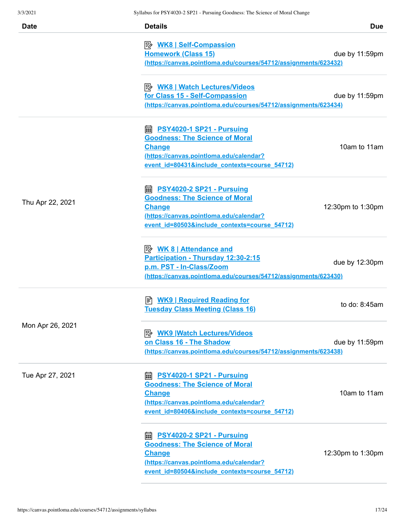| <b>Date</b>      | <b>Details</b>                                                                                                                                                                                    | <b>Due</b>        |
|------------------|---------------------------------------------------------------------------------------------------------------------------------------------------------------------------------------------------|-------------------|
|                  | <u>≫ WK8   Self-Compassion</u><br><b>Homework (Class 15)</b><br>(https://canvas.pointloma.edu/courses/54712/assignments/623432)                                                                   | due by 11:59pm    |
|                  | <b>B</b> WK8   Watch Lectures/Videos<br>for Class 15 - Self-Compassion<br><u>(https://canvas.pointloma.edu/courses/54712/assignments/623434)</u>                                                  | due by 11:59pm    |
|                  | <b>empths PSY4020-1 SP21 - Pursuing</b><br><b>Goodness: The Science of Moral</b><br><b>Change</b><br>(https://canvas.pointloma.edu/calendar?<br>event id=80431&include contexts=course 54712)     | 10am to 11am      |
| Thu Apr 22, 2021 | <b>empths PSY4020-2 SP21 - Pursuing</b><br><b>Goodness: The Science of Moral</b><br><b>Change</b><br>(https://canvas.pointloma.edu/calendar?<br>event id=80503&include contexts=course 54712)     | 12:30pm to 1:30pm |
|                  | <b>Attendance and</b><br>Participation - Thursday 12:30-2:15<br>p.m. PST - In-Class/Zoom<br><u>(https://canvas.pointloma.edu/courses/54712/assignments/623430)</u>                                | due by 12:30pm    |
|                  | <b>WK9   Required Reading for</b><br>ا≣ا<br><b>Tuesday Class Meeting (Class 16)</b>                                                                                                               | to do: 8:45am     |
| Mon Apr 26, 2021 | ⊧≽<br><b>WK9 Watch Lectures/Videos</b><br>on Class 16 - The Shadow<br>(https://canvas.pointloma.edu/courses/54712/assignments/623438)                                                             | due by 11:59pm    |
| Tue Apr 27, 2021 | <b>A</b> PSY4020-1 SP21 - Pursuing<br><b>Goodness: The Science of Moral</b><br><b>Change</b><br>(https://canvas.pointloma.edu/calendar?<br>event id=80406&include contexts=course 54712)          | 10am to 11am      |
|                  | https://www.philippedia.com/ind/industrial/<br><b>Goodness: The Science of Moral</b><br><b>Change</b><br>(https://canvas.pointloma.edu/calendar?<br>event id=80504&include contexts=course 54712) | 12:30pm to 1:30pm |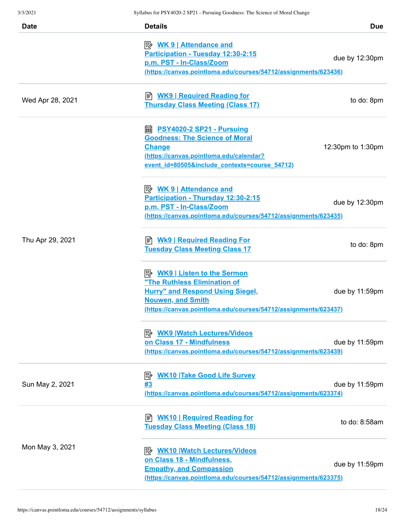| <b>Date</b>      | <b>Details</b>                                                                                                                                                                                                                      | <b>Due</b>        |
|------------------|-------------------------------------------------------------------------------------------------------------------------------------------------------------------------------------------------------------------------------------|-------------------|
|                  | Participation - Tuesday 12:30-2:15<br>p.m. PST - In-Class/Zoom<br>(https://canvas.pointloma.edu/courses/54712/assignments/623436)                                                                                                   | due by 12:30pm    |
| Wed Apr 28, 2021 | <u>WK9   Required Reading for</u><br><b>Thursday Class Meeting (Class 17)</b>                                                                                                                                                       | to do: 8pm        |
|                  | https://www.philippedia.org/mail/and/and/inf/resulting/mail/and/inf/resulting<br><b>Goodness: The Science of Moral</b><br><b>Change</b><br>(https://canvas.pointloma.edu/calendar?<br>event id=80505&include contexts=course 54712) | 12:30pm to 1:30pm |
|                  | $\Rightarrow$ WK 9   Attendance and<br>Participation - Thursday 12:30-2:15<br>p.m. PST - In-Class/Zoom<br>(https://canvas.pointloma.edu/courses/54712/assignments/623435)                                                           | due by 12:30pm    |
| Thu Apr 29, 2021 | <b>Tuesday Class Meeting Class 17</b>                                                                                                                                                                                               | to do: 8pm        |
|                  | "The Ruthless Elimination of<br><b>Hurry" and Respond Using Siegel,</b><br><b>Nouwen, and Smith</b><br>(https://canvas.pointloma.edu/courses/54712/assignments/623437)                                                              | due by 11:59pm    |
|                  | 吟<br><b>WK9 Watch Lectures/Videos</b><br>on Class 17 - Mindfulness<br>(https://canvas.pointloma.edu/courses/54712/assignments/623439)                                                                                               | due by 11:59pm    |
| Sun May 2, 2021  | <b>WK10 Take Good Life Survey</b><br>零<br>#3<br>(https://canvas.pointloma.edu/courses/54712/assignments/623374)                                                                                                                     | due by 11:59pm    |
|                  | <b>WK10   Required Reading for</b><br>訚<br><b>Tuesday Class Meeting (Class 18)</b>                                                                                                                                                  | to do: 8:58am     |
| Mon May 3, 2021  | <b>WK10 Watch Lectures/Videos</b><br>⊯<br>on Class 18 - Mindfulness,<br><b>Empathy, and Compassion</b><br>(https://canvas.pointloma.edu/courses/54712/assignments/623375)                                                           | due by 11:59pm    |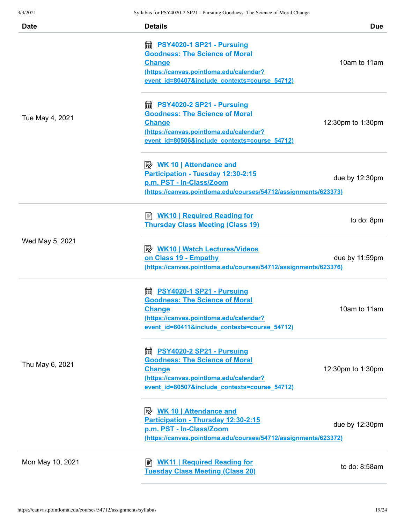| <b>Date</b>      | <b>Details</b>                                                                                                                                                                                          | <b>Due</b>        |
|------------------|---------------------------------------------------------------------------------------------------------------------------------------------------------------------------------------------------------|-------------------|
| Tue May 4, 2021  | <b>A</b> PSY4020-1 SP21 - Pursuing<br><b>Goodness: The Science of Moral</b><br><b>Change</b><br>(https://canvas.pointloma.edu/calendar?<br>event id=80407&include contexts=course 54712)                | 10am to 11am      |
|                  | https://www.philippedia.org/models.com/inductors/<br><b>Goodness: The Science of Moral</b><br><b>Change</b><br>(https://canvas.pointloma.edu/calendar?<br>event id=80506&include contexts=course 54712) | 12:30pm to 1:30pm |
|                  | <u> <i>WK</i> 10   Attendance and</u><br>Participation - Tuesday 12:30-2:15<br>p.m. PST - In-Class/Zoom<br>(https://canvas.pointloma.edu/courses/54712/assignments/623373)                              | due by 12:30pm    |
| Wed May 5, 2021  | B WK10   Required Reading for<br><b>Thursday Class Meeting (Class 19)</b>                                                                                                                               | to do: 8pm        |
|                  | P WK10   Watch Lectures/Videos<br>on Class 19 - Empathy<br>(https://canvas.pointloma.edu/courses/54712/assignments/623376)                                                                              | due by 11:59pm    |
| Thu May 6, 2021  | <b>■ PSY4020-1 SP21 - Pursuing</b><br><b>Goodness: The Science of Moral</b><br>Change<br>(https://canvas.pointloma.edu/calendar?<br>event id=80411&include contexts=course 54712)                       | 10am to 11am      |
|                  | <b>■ PSY4020-2 SP21 - Pursuing</b><br><b>Goodness: The Science of Moral</b><br><b>Change</b><br>(https://canvas.pointloma.edu/calendar?<br>event id=80507&include contexts=course 54712)                | 12:30pm to 1:30pm |
|                  | <b>WK 10   Attendance and</b><br>Participation - Thursday 12:30-2:15<br>p.m. PST - In-Class/Zoom<br>(https://canvas.pointloma.edu/courses/54712/assignments/623372)                                     | due by 12:30pm    |
| Mon May 10, 2021 | <b>WK11   Required Reading for</b><br>ا≣ا<br><b>Tuesday Class Meeting (Class 20)</b>                                                                                                                    | to do: 8:58am     |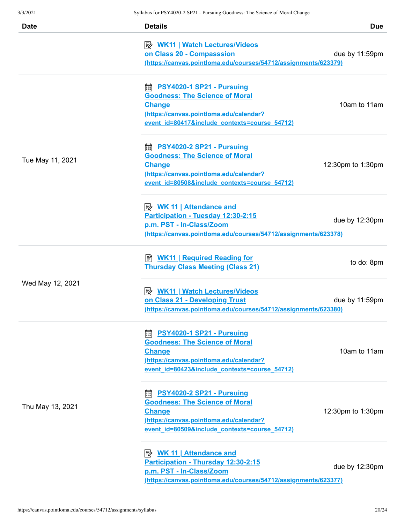| <b>Date</b>      | <b>Details</b>                                                         | <b>Due</b>        |
|------------------|------------------------------------------------------------------------|-------------------|
|                  | P WK11   Watch Lectures/Videos                                         |                   |
|                  | on Class 20 - Compasssion                                              | due by 11:59pm    |
|                  | (https://canvas.pointloma.edu/courses/54712/assignments/623379)        |                   |
|                  | <b>■ PSY4020-1 SP21 - Pursuing</b>                                     |                   |
|                  | <b>Goodness: The Science of Moral</b>                                  |                   |
|                  | <b>Change</b>                                                          | 10am to 11am      |
|                  | (https://canvas.pointloma.edu/calendar?                                |                   |
|                  | event id=80417&include contexts=course 54712)                          |                   |
|                  |                                                                        |                   |
|                  | <b>Goodness: The Science of Moral</b>                                  |                   |
| Tue May 11, 2021 | <b>Change</b>                                                          | 12:30pm to 1:30pm |
|                  | (https://canvas.pointloma.edu/calendar?                                |                   |
|                  | event id=80508&include contexts=course 54712)                          |                   |
|                  | <b>B</b> WK 11   Attendance and                                        |                   |
|                  | Participation - Tuesday 12:30-2:15                                     |                   |
|                  | p.m. PST - In-Class/Zoom                                               | due by 12:30pm    |
|                  | <u>(https://canvas.pointloma.edu/courses/54712/assignments/623378)</u> |                   |
|                  | B WK11   Required Reading for                                          |                   |
|                  | <b>Thursday Class Meeting (Class 21)</b>                               | to do: 8pm        |
| Wed May 12, 2021 | <b>B</b> WK11   Watch Lectures/Videos                                  |                   |
|                  | on Class 21 - Developing Trust                                         | due by 11:59pm    |
|                  | (https://canvas.pointloma.edu/courses/54712/assignments/623380)        |                   |
|                  | <b>PSY4020-1 SP21 - Pursuing</b><br>翩                                  |                   |
|                  | <b>Goodness: The Science of Moral</b>                                  |                   |
|                  | <b>Change</b>                                                          | 10am to 11am      |
|                  | (https://canvas.pointloma.edu/calendar?                                |                   |
|                  | event id=80423&include contexts=course 54712)                          |                   |
|                  | <b>A</b> PSY4020-2 SP21 - Pursuing                                     |                   |
|                  | <b>Goodness: The Science of Moral</b>                                  |                   |
| Thu May 13, 2021 | <b>Change</b>                                                          | 12:30pm to 1:30pm |
|                  | (https://canvas.pointloma.edu/calendar?                                |                   |
|                  | event id=80509&include contexts=course 54712)                          |                   |
|                  |                                                                        |                   |
|                  | Participation - Thursday 12:30-2:15                                    |                   |
|                  | p.m. PST - In-Class/Zoom                                               | due by 12:30pm    |
|                  | (https://canvas.pointloma.edu/courses/54712/assignments/623377)        |                   |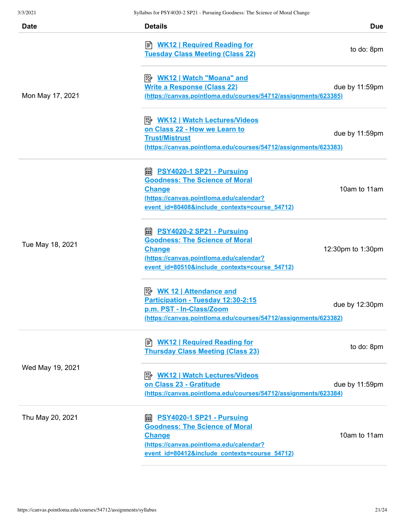| <b>Date</b>      | <b>Details</b>                                                                                                                                                                           | <b>Due</b>        |
|------------------|------------------------------------------------------------------------------------------------------------------------------------------------------------------------------------------|-------------------|
|                  | ■ <b>WK12   Required Reading for</b><br><b>Tuesday Class Meeting (Class 22)</b>                                                                                                          | to do: 8pm        |
| Mon May 17, 2021 | <u>≫ WK12   Watch "Moana" and</u><br><b>Write a Response (Class 22)</b><br>(https://canvas.pointloma.edu/courses/54712/assignments/623385)                                               | due by 11:59pm    |
|                  | <b>B</b> WK12   Watch Lectures/Videos<br>on Class 22 - How we Learn to<br><b>Trust/Mistrust</b><br>(https://canvas.pointloma.edu/courses/54712/assignments/623383)                       | due by 11:59pm    |
|                  | <b>■ PSY4020-1 SP21 - Pursuing</b><br><b>Goodness: The Science of Moral</b><br><b>Change</b><br>(https://canvas.pointloma.edu/calendar?<br>event id=80408&include contexts=course 54712) | 10am to 11am      |
| Tue May 18, 2021 | <b>■ PSY4020-2 SP21 - Pursuing</b><br><b>Goodness: The Science of Moral</b><br><b>Change</b><br>(https://canvas.pointloma.edu/calendar?<br>event id=80510&include contexts=course 54712) | 12:30pm to 1:30pm |
|                  | Participation - Tuesday 12:30-2:15<br>p.m. PST - In-Class/Zoom<br>(https://canvas.pointloma.edu/courses/54712/assignments/623382)                                                        | due by 12:30pm    |
| Wed May 19, 2021 | <b>WK12   Required Reading for</b><br>訚<br><b>Thursday Class Meeting (Class 23)</b>                                                                                                      | to do: 8pm        |
|                  | B <u>WK12   Watch Lectures/Videos</u><br>on Class 23 - Gratitude<br>(https://canvas.pointloma.edu/courses/54712/assignments/623384)                                                      | due by 11:59pm    |
| Thu May 20, 2021 | <b>■ PSY4020-1 SP21 - Pursuing</b><br><b>Goodness: The Science of Moral</b><br><b>Change</b><br>(https://canvas.pointloma.edu/calendar?<br>event id=80412&include contexts=course 54712) | 10am to 11am      |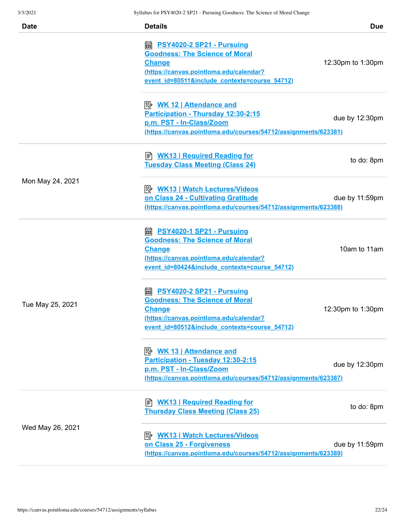| 3/3/2021         | Syllabus for PSY4020-2 SP21 - Pursuing Goodness: The Science of Moral Change                                                                                                             |                   |
|------------------|------------------------------------------------------------------------------------------------------------------------------------------------------------------------------------------|-------------------|
| <b>Date</b>      | <b>Details</b>                                                                                                                                                                           | <b>Due</b>        |
|                  | <b>■ PSY4020-2 SP21 - Pursuing</b><br><b>Goodness: The Science of Moral</b><br><b>Change</b><br>(https://canvas.pointloma.edu/calendar?<br>event id=80511&include contexts=course 54712) | 12:30pm to 1:30pm |
|                  | <u> <i>WK</i> 12   Attendance and</u><br>Participation - Thursday 12:30-2:15<br>p.m. PST - In-Class/Zoom<br>(https://canvas.pointloma.edu/courses/54712/assignments/623381)              | due by 12:30pm    |
|                  | ■ WK13   Required Reading for<br><b>Tuesday Class Meeting (Class 24)</b>                                                                                                                 | to do: 8pm        |
| Mon May 24, 2021 | <b>B</b> WK13   Watch Lectures/Videos<br>on Class 24 - Cultivating Gratitude<br>(https://canvas.pointloma.edu/courses/54712/assignments/623388)                                          | due by 11:59pm    |
|                  | <b>A</b> PSY4020-1 SP21 - Pursuing<br><b>Goodness: The Science of Moral</b><br><b>Change</b><br>(https://canvas.pointloma.edu/calendar?<br>event_id=80424&include_contexts=course_54712) | 10am to 11am      |
| Tue May 25, 2021 | <b>■ PSY4020-2 SP21 - Pursuing</b><br><b>Goodness: The Science of Moral</b><br><b>Change</b><br>(https://canvas.pointloma.edu/calendar?<br>event id=80512&include contexts=course 54712) | 12:30pm to 1:30pm |
|                  | Participation - Tuesday 12:30-2:15<br>p.m. PST - In-Class/Zoom<br>(https://canvas.pointloma.edu/courses/54712/assignments/623387)                                                        | due by 12:30pm    |
| Wed May 26, 2021 | <b>■ WK13   Required Reading for</b><br><b>Thursday Class Meeting (Class 25)</b>                                                                                                         | to do: 8pm        |
|                  | <b>A</b> WK13   Watch Lectures/Videos<br>on Class 25 - Forgiveness<br>(https://canvas.pointloma.edu/courses/54712/assignments/623389)                                                    | due by 11:59pm    |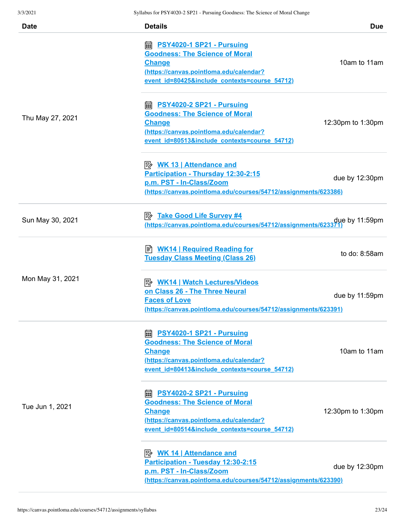| <b>Date</b>      | <b>Details</b>                                                                                                                                                                                                       | <b>Due</b>        |
|------------------|----------------------------------------------------------------------------------------------------------------------------------------------------------------------------------------------------------------------|-------------------|
| Thu May 27, 2021 | https://www.philippedia.org/models/space.org/models/ent/inter-<br><b>Goodness: The Science of Moral</b><br><b>Change</b><br>(https://canvas.pointloma.edu/calendar?<br>event id=80425&include contexts=course 54712) | 10am to 11am      |
|                  | <b>A</b> PSY4020-2 SP21 - Pursuing<br><b>Goodness: The Science of Moral</b><br><b>Change</b><br>(https://canvas.pointloma.edu/calendar?<br>event id=80513&include contexts=course 54712)                             | 12:30pm to 1:30pm |
|                  | <u> <i>WK</i> 13   Attendance and</u><br>Participation - Thursday 12:30-2:15<br>p.m. PST - In-Class/Zoom<br>(https://canvas.pointloma.edu/courses/54712/assignments/623386)                                          | due by 12:30pm    |
| Sun May 30, 2021 | <b>E</b> Take Good Life Survey #4<br>oue by 11:59pm (https://canvas.pointloma.edu/courses/54712/assignments/623371)                                                                                                  |                   |
| Mon May 31, 2021 | <b>E</b> WK14   Required Reading for<br><b>Tuesday Class Meeting (Class 26)</b>                                                                                                                                      | to do: 8:58am     |
|                  | <b>B</b> WK14   Watch Lectures/Videos<br>on Class 26 - The Three Neural<br><b>Faces of Love</b><br>(https://canvas.pointloma.edu/courses/54712/assignments/623391)                                                   | due by $11:59$ pm |
| Tue Jun 1, 2021  | <b>■ PSY4020-1 SP21 - Pursuing</b><br><b>Goodness: The Science of Moral</b><br><b>Change</b><br>(https://canvas.pointloma.edu/calendar?<br>event id=80413&include contexts=course 54712)                             | 10am to 11am      |
|                  | <b>A</b> PSY4020-2 SP21 - Pursuing<br><b>Goodness: The Science of Moral</b><br><b>Change</b><br>(https://canvas.pointloma.edu/calendar?<br>event id=80514&include contexts=course 54712)                             | 12:30pm to 1:30pm |
|                  | <u> <i>WK</i> 14   Attendance and</u><br>Participation - Tuesday 12:30-2:15<br>p.m. PST - In-Class/Zoom<br>(https://canvas.pointloma.edu/courses/54712/assignments/623390)                                           | due by 12:30pm    |